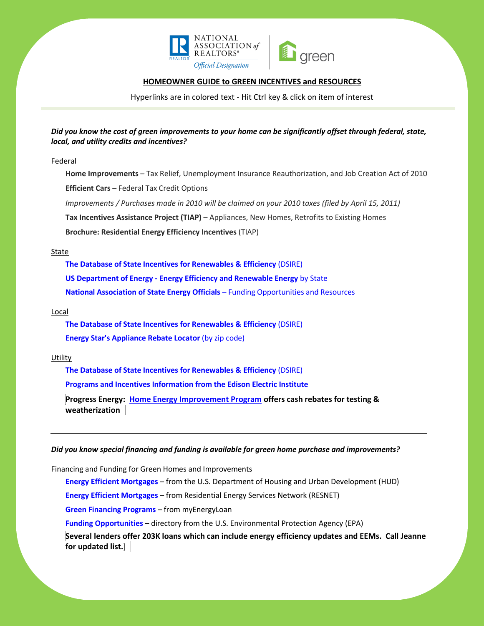



# **HOMEOWNER GUIDE to GREEN INCENTIVES and RESOURCES**

Hyperlinks are in colored text - Hit Ctrl key & click on item of interest

### *Did you know the cost of green improvements to your home can be significantly offset through federal, state, local, and utility credits and incentives?*

#### Federal

**Home Improvements** – [Tax Relief, Unemployment Insurance Reauthorization, and Job Creation Act of 2010](http://www.energystar.gov/index.cfm?c=tax_credits.tx_index#s1) **Efficient Cars** – [Federal Tax Credit Options](http://www.fueleconomy.gov/feg/taxevb.shtml)

*Improvements / Purchases made in 2010 will be claimed on your 2010 taxes (filed by April 15, 2011)* 

**[Tax Incentives Assistance Project \(TIAP\)](http://www.energytaxincentives.org/)** – Appliances, New Homes, Retrofits to Existing Homes

**[Brochure: Residential Energy Efficiency Incentives](http://energytaxincentives.org/uploaded_files/residentialflyer.pdf)** (TIAP)

### State

**[The Database of State Incentives for Renewables & Efficiency](http://www.dsireusa.org/)** (DSIRE)

**US Department of Energy - [Energy Efficiency and Renewable Energy](http://apps1.eere.energy.gov/states/state_specific_information.cfm/)** by State

**[National Association of State Energy Officials](http://www.naseo.org/)** – Funding Opportunities and Resources

#### Local

**[The Database of State Incentives for Renewables & Efficiency](http://www.dsireusa.org/)** (DSIRE) **[Energy Star's Appliance Rebate Locator](http://www.energystar.gov/index.cfm?fuseaction=rebate.rebate_locator)** (by zip code)

#### Utility

**[The Database of State Incentives for Renewables & Efficiency](http://www.dsireusa.org/)** (DSIRE)

**[Programs and Incentives Information from the Edison Electric Institute](http://www.eei.org/Pages/ResidentialConsumers.aspx)**

**Progress Energy: [Home Energy Improvement Program](http://www.progress-energy.com/custservice/carres/efficiency/programs/heip/index.asp) offers cash rebates for testing & weatherization**

#### *Did you know special financing and funding is available for green home purchase and improvements?*

#### Financing and Funding for Green Homes and Improvements

**[Energy Efficient Mortgages](http://www.hud.gov/offices/hsg/sfh/eem/eemhog96.cfm)** – from the U.S. Department of Housing and Urban Development (HUD)

**[Energy Efficient Mortgages](http://www.resnet.us/ratings/overview/faq_mortgage.htm)** – from Residential Energy Services Network (RESNET)

**[Green Financing Programs](http://www.myenergyloan.com/)** – from myEnergyLoan

**[Funding Opportunities](http://www.epa.gov/greenbuilding/tools/funding.htm)** – directory from the U.S. Environmental Protection Agency (EPA)

**Several lenders offer 203K loans which can include energy efficiency updates and EEMs. Call Jeanne for updated list.**]